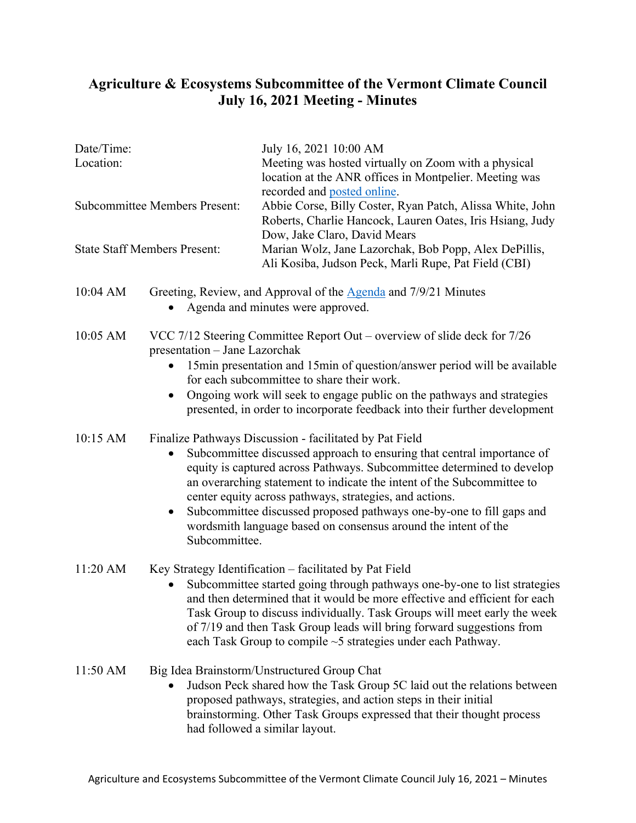## **Agriculture & Ecosystems Subcommittee of the Vermont Climate Council July 16, 2021 Meeting - Minutes**

. . . . . . . . . .

. . . . . . .

...........................

| Date/Time:<br>Location:<br><b>Subcommittee Members Present:</b> |                                                                                                                                                                                                                                                                                                                                                                                                                                                                                                                          | July 16, 2021 10:00 AM<br>Meeting was hosted virtually on Zoom with a physical<br>location at the ANR offices in Montpelier. Meeting was<br>recorded and posted online.<br>Abbie Corse, Billy Coster, Ryan Patch, Alissa White, John<br>Roberts, Charlie Hancock, Lauren Oates, Iris Hsiang, Judy<br>Dow, Jake Claro, David Mears |
|-----------------------------------------------------------------|--------------------------------------------------------------------------------------------------------------------------------------------------------------------------------------------------------------------------------------------------------------------------------------------------------------------------------------------------------------------------------------------------------------------------------------------------------------------------------------------------------------------------|-----------------------------------------------------------------------------------------------------------------------------------------------------------------------------------------------------------------------------------------------------------------------------------------------------------------------------------|
|                                                                 |                                                                                                                                                                                                                                                                                                                                                                                                                                                                                                                          |                                                                                                                                                                                                                                                                                                                                   |
| 10:04 AM                                                        |                                                                                                                                                                                                                                                                                                                                                                                                                                                                                                                          | Greeting, Review, and Approval of the Agenda and 7/9/21 Minutes<br>Agenda and minutes were approved.                                                                                                                                                                                                                              |
| 10:05 AM                                                        | VCC $7/12$ Steering Committee Report Out – overview of slide deck for $7/26$<br>presentation - Jane Lazorchak<br>15min presentation and 15min of question/answer period will be available<br>for each subcommittee to share their work.<br>Ongoing work will seek to engage public on the pathways and strategies<br>presented, in order to incorporate feedback into their further development                                                                                                                          |                                                                                                                                                                                                                                                                                                                                   |
| 10:15 AM                                                        | Finalize Pathways Discussion - facilitated by Pat Field<br>Subcommittee discussed approach to ensuring that central importance of<br>$\bullet$<br>equity is captured across Pathways. Subcommittee determined to develop<br>an overarching statement to indicate the intent of the Subcommittee to<br>center equity across pathways, strategies, and actions.<br>Subcommittee discussed proposed pathways one-by-one to fill gaps and<br>wordsmith language based on consensus around the intent of the<br>Subcommittee. |                                                                                                                                                                                                                                                                                                                                   |
| $11:20$ AM                                                      | Key Strategy Identification - facilitated by Pat Field<br>Subcommittee started going through pathways one-by-one to list strategies<br>and then determined that it would be more effective and efficient for each<br>Task Group to discuss individually. Task Groups will meet early the week<br>of 7/19 and then Task Group leads will bring forward suggestions from<br>each Task Group to compile $\sim$ 5 strategies under each Pathway.                                                                             |                                                                                                                                                                                                                                                                                                                                   |
| 11:50 AM                                                        |                                                                                                                                                                                                                                                                                                                                                                                                                                                                                                                          | Big Idea Brainstorm/Unstructured Group Chat<br>Judson Peck shared how the Task Group 5C laid out the relations between<br>proposed pathways, strategies, and action steps in their initial<br>brainstorming. Other Task Groups expressed that their thought process<br>had followed a similar layout.                             |